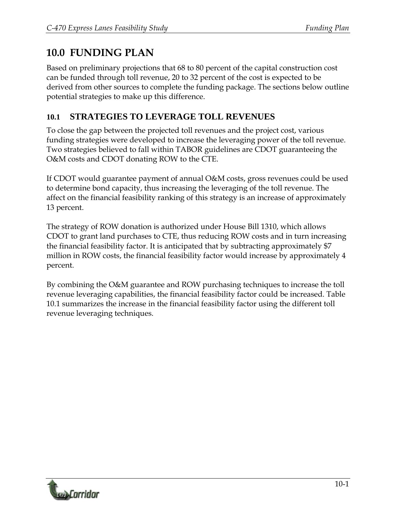# **10.0 FUNDING PLAN**

Based on preliminary projections that 68 to 80 percent of the capital construction cost can be funded through toll revenue, 20 to 32 percent of the cost is expected to be derived from other sources to complete the funding package. The sections below outline potential strategies to make up this difference.

### **10.1 STRATEGIES TO LEVERAGE TOLL REVENUES**

To close the gap between the projected toll revenues and the project cost, various funding strategies were developed to increase the leveraging power of the toll revenue. Two strategies believed to fall within TABOR guidelines are CDOT guaranteeing the O&M costs and CDOT donating ROW to the CTE.

If CDOT would guarantee payment of annual O&M costs, gross revenues could be used to determine bond capacity, thus increasing the leveraging of the toll revenue. The affect on the financial feasibility ranking of this strategy is an increase of approximately 13 percent.

The strategy of ROW donation is authorized under House Bill 1310, which allows CDOT to grant land purchases to CTE, thus reducing ROW costs and in turn increasing the financial feasibility factor. It is anticipated that by subtracting approximately \$7 million in ROW costs, the financial feasibility factor would increase by approximately 4 percent.

By combining the O&M guarantee and ROW purchasing techniques to increase the toll revenue leveraging capabilities, the financial feasibility factor could be increased. Table 10.1 summarizes the increase in the financial feasibility factor using the different toll revenue leveraging techniques.

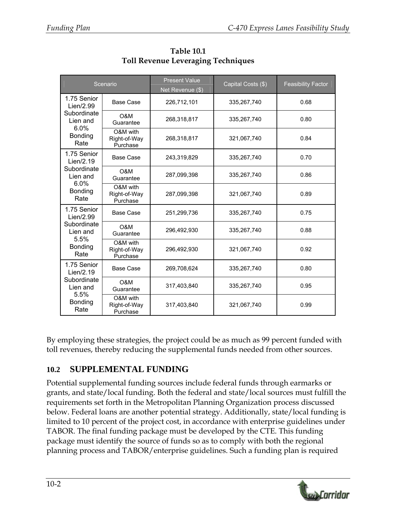| Scenario                                                                              |                                      | <b>Present Value</b><br>Net Revenue (\$) | Capital Costs (\$) | <b>Feasibility Factor</b> |
|---------------------------------------------------------------------------------------|--------------------------------------|------------------------------------------|--------------------|---------------------------|
| 1.75 Senior<br>Lien/2.99<br>Subordinate<br>Lien and<br>6.0%<br><b>Bonding</b><br>Rate | <b>Base Case</b>                     | 226,712,101                              | 335,267,740        | 0.68                      |
|                                                                                       | O&M<br>Guarantee                     | 268,318,817                              | 335,267,740        | 0.80                      |
|                                                                                       | O&M with<br>Right-of-Way<br>Purchase | 268,318,817                              | 321,067,740        | 0.84                      |
| 1.75 Senior<br>Lien/2.19<br>Subordinate<br>Lien and<br>6.0%<br><b>Bonding</b><br>Rate | <b>Base Case</b>                     | 243,319,829                              | 335,267,740        | 0.70                      |
|                                                                                       | O&M<br>Guarantee                     | 287,099,398                              | 335,267,740        | 0.86                      |
|                                                                                       | O&M with<br>Right-of-Way<br>Purchase | 287,099,398                              | 321,067,740        | 0.89                      |
| 1.75 Senior<br>Lien/2.99<br>Subordinate<br>Lien and<br>5.5%<br>Bonding<br>Rate        | <b>Base Case</b>                     | 251,299,736                              | 335.267.740        | 0.75                      |
|                                                                                       | O&M<br>Guarantee                     | 296,492,930                              | 335,267,740        | 0.88                      |
|                                                                                       | O&M with<br>Right-of-Way<br>Purchase | 296,492,930                              | 321,067,740        | 0.92                      |
| 1.75 Senior<br>Lien/2.19<br>Subordinate<br>Lien and<br>5.5%<br><b>Bonding</b><br>Rate | <b>Base Case</b>                     | 269,708,624                              | 335,267,740        | 0.80                      |
|                                                                                       | O&M<br>Guarantee                     | 317,403,840                              | 335,267,740        | 0.95                      |
|                                                                                       | O&M with<br>Right-of-Way<br>Purchase | 317,403,840                              | 321,067,740        | 0.99                      |

**Table 10.1 Toll Revenue Leveraging Techniques** 

By employing these strategies, the project could be as much as 99 percent funded with toll revenues, thereby reducing the supplemental funds needed from other sources.

## **10.2 SUPPLEMENTAL FUNDING**

Potential supplemental funding sources include federal funds through earmarks or grants, and state/local funding. Both the federal and state/local sources must fulfill the requirements set forth in the Metropolitan Planning Organization process discussed below. Federal loans are another potential strategy. Additionally, state/local funding is limited to 10 percent of the project cost, in accordance with enterprise guidelines under TABOR. The final funding package must be developed by the CTE. This funding package must identify the source of funds so as to comply with both the regional planning process and TABOR/enterprise guidelines. Such a funding plan is required

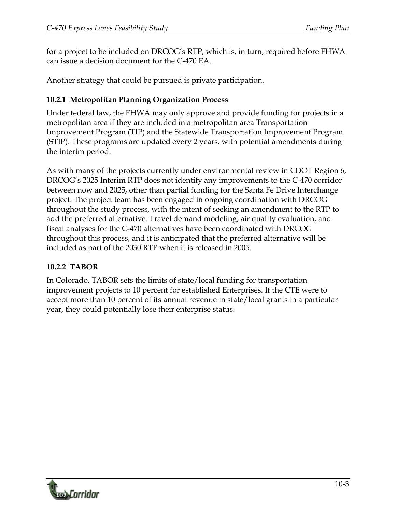for a project to be included on DRCOG's RTP, which is, in turn, required before FHWA can issue a decision document for the C-470 EA.

Another strategy that could be pursued is private participation.

### **10.2.1 Metropolitan Planning Organization Process**

Under federal law, the FHWA may only approve and provide funding for projects in a metropolitan area if they are included in a metropolitan area Transportation Improvement Program (TIP) and the Statewide Transportation Improvement Program (STIP). These programs are updated every 2 years, with potential amendments during the interim period.

As with many of the projects currently under environmental review in CDOT Region 6, DRCOG's 2025 Interim RTP does not identify any improvements to the C-470 corridor between now and 2025, other than partial funding for the Santa Fe Drive Interchange project. The project team has been engaged in ongoing coordination with DRCOG throughout the study process, with the intent of seeking an amendment to the RTP to add the preferred alternative. Travel demand modeling, air quality evaluation, and fiscal analyses for the C-470 alternatives have been coordinated with DRCOG throughout this process, and it is anticipated that the preferred alternative will be included as part of the 2030 RTP when it is released in 2005.

### **10.2.2 TABOR**

In Colorado, TABOR sets the limits of state/local funding for transportation improvement projects to 10 percent for established Enterprises. If the CTE were to accept more than 10 percent of its annual revenue in state/local grants in a particular year, they could potentially lose their enterprise status.